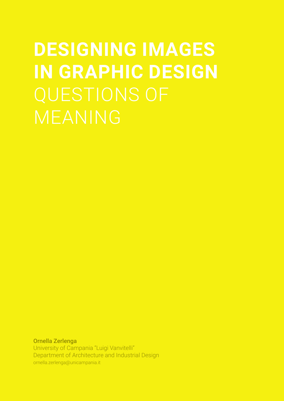# **DESIGNING IMAGES IN GRAPHIC DESIGN** MEANING

Ornella Zerlenga University of Campania "Luigi Vanvitelli" Department of Architecture and Industrial Design ornella.zerlenga@unicampania.it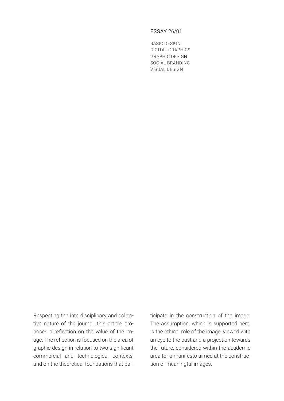## ESSAY 26/01

BASIC DESIGN DIGITAL GRAPHICS GRAPHIC DESIGN SOCIAL BRANDING VISUAL DESIGN

Respecting the interdisciplinary and collective nature of the journal, this article proposes a reflection on the value of the image. The reflection is focused on the area of graphic design in relation to two significant commercial and technological contexts, and on the theoretical foundations that participate in the construction of the image. The assumption, which is supported here, is the ethical role of the image, viewed with an eye to the past and a projection towards the future, considered within the academic area for a manifesto aimed at the construction of meaningful images.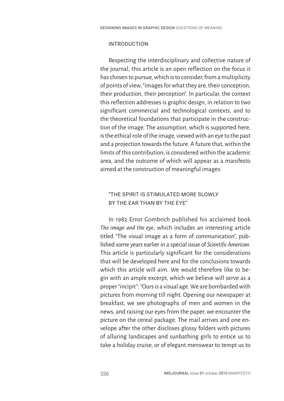## INTRODUCTION

Respecting the interdisciplinary and collective nature of the journal, this article is an open reflection on the focus it has chosen to pursue, which is to consider, from a multiplicity of points of view, "images for what they are, their conception, their production, their perception". In particular, the context this reflection addresses is graphic design, in relation to two significant commercial and technological contexts, and to the theoretical foundations that participate in the construction of the image. The assumption, which is supported here, is the ethical role of the image, viewed with an eye to the past and a projection towards the future. A future that, within the limits of this contribution, is considered within the academic area, and the outcome of which will appear as a manifesto aimed at the construction of meaningful images.

# "THE SPIRIT IS STIMULATED MORE SLOWLY BY THE EAR THAN BY THE EYE"

In 1982 Ernst Gombrich published his acclaimed book *The image and the eye*, which includes an interesting article titled "The visual image as a form of communication", published some years earlier in a special issue of *Scientific American*. This article is particularly significant for the considerations that will be developed here and for the conclusions towards which this article will aim. We would therefore like to begin with an ample excerpt, which we believe will serve as a proper "incipit": "Ours is a visual age. We are bombarded with pictures from morning till night. Opening our newspaper at breakfast, we see photographs of men and women in the news, and raising our eyes from the paper, we encounter the picture on the cereal package. The mail arrives and one envelope after the other discloses glossy folders with pictures of alluring landscapes and sunbathing girls to entice us to take a holiday cruise, or of elegant menswear to tempt us to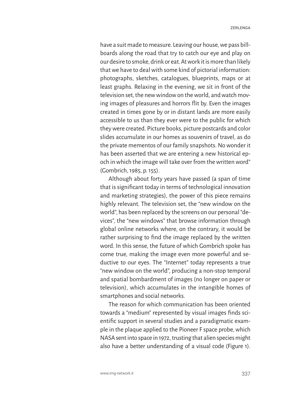have a suit made to measure. Leaving our house, we pass billboards along the road that try to catch our eye and play on our desire to smoke, drink or eat. At work it is more than likely that we have to deal with some kind of pictorial information: photographs, sketches, catalogues, blueprints, maps or at least graphs. Relaxing in the evening, we sit in front of the television set, the new window on the world, and watch moving images of pleasures and horrors flit by. Even the images created in times gone by or in distant lands are more easily accessible to us than they ever were to the public for which they were created. Picture books, picture postcards and color slides accumulate in our homes as souvenirs of travel, as do the private mementos of our family snapshots. No wonder it has been asserted that we are entering a new historical epoch in which the image will take over from the written word" (Gombrich, 1985, p. 155).

Although about forty years have passed (a span of time that is significant today in terms of technological innovation and marketing strategies), the power of this piece remains highly relevant. The television set, the "new window on the world", has been replaced by the screens on our personal "devices", the "new windows" that browse information through global online networks where, on the contrary, it would be rather surprising to find the image replaced by the written word. In this sense, the future of which Gombrich spoke has come true, making the image even more powerful and seductive to our eyes. The "Internet" today represents a true "new window on the world", producing a non-stop temporal and spatial bombardment of images (no longer on paper or television), which accumulates in the intangible homes of smartphones and social networks.

The reason for which communication has been oriented towards a "medium" represented by visual images finds scientific support in several studies and a paradigmatic example in the plaque applied to the Pioneer F space probe, which NASA sent into space in 1972, trusting that alien species might also have a better understanding of a visual code (Figure 1).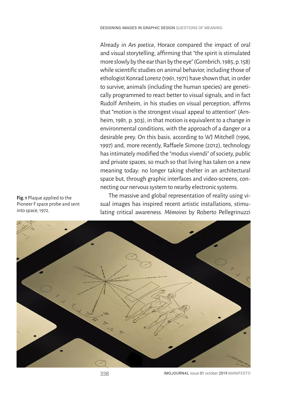Already in *Ars poetica*, Horace compared the impact of oral and visual storytelling, affirming that "the spirit is stimulated more slowly by the ear than by the eye" (Gombrich, 1985, p. 158) while scientific studies on animal behavior, including those of ethologist Konrad Lorenz (1961, 1971) have shown that, in order to survive, animals (including the human species) are genetically programmed to react better to visual signals, and in fact Rudolf Arnheim, in his studies on visual perception, affirms that "motion is the strongest visual appeal to attention" (Arnheim, 1981, p. 303), in that motion is equivalent to a change in environmental conditions, with the approach of a danger or a desirable prey. On this basis, according to WJ Mitchell (1996, 1997) and, more recently, Raffaele Simone (2012), technology has intimately modified the "modus vivendi" of society, public and private spaces, so much so that living has taken on a new meaning today: no longer taking shelter in an architectural space but, through graphic interfaces and video-screens, connecting our nervous system to nearby electronic systems.

The massive and global representation of reality using visual images has inspired recent artistic installations, stimulating critical awareness. *Mémoires* by Roberto Pellegrinuzzi



338 IMGJOURNAL issue 01 october 2019 MANIFESTO

**Fig. 1** Plaque applied to the Pioneer F space probe and sent into space, 1972.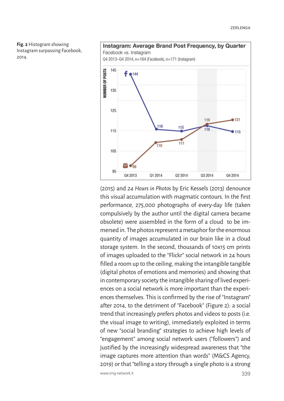



(2015) and *24 Hours in Photos* by Eric Kessels (2013) denounce this visual accumulation with magmatic contours. In the first performance, 275,000 photographs of every-day life (taken compulsively by the author until the digital camera became obsolete) were assembled in the form of a cloud to be immersed in. The photos represent a metaphor for the enormous quantity of images accumulated in our brain like in a cloud storage system. In the second, thousands of 10x15 cm prints of images uploaded to the "Flickr" social network in 24 hours filled a room up to the ceiling, making the intangible tangible (digital photos of emotions and memories) and showing that in contemporary society the intangible sharing of lived experiences on a social network is more important than the experiences themselves. This is confirmed by the rise of "Instagram" after 2014, to the detriment of "Facebook" (Figure 2): a social trend that increasingly prefers photos and videos to posts (i.e. the visual image to writing), immediately exploited in terms of new "social branding" strategies to achieve high levels of "engagement" among social network users ("followers") and justified by the increasingly widespread awareness that "the image captures more attention than words" (M&CS Agency, 2019) or that "telling a story through a single photo is a strong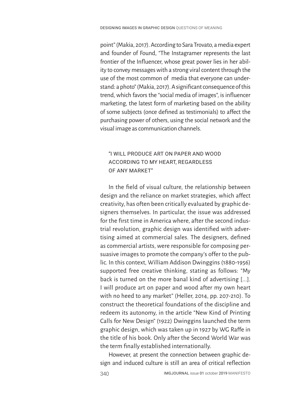point" (Makia, 2017). According to Sara Trovato, a media expert and founder of Found, "The Instagramer represents the last frontier of the Influencer, whose great power lies in her ability to convey messages with a strong viral content through the use of the most common of media that everyone can understand: a photo" (Makia, 2017). A significant consequence of this trend, which favors the "social media of images", is influencer marketing, the latest form of marketing based on the ability of some subjects (once defined as testimonials) to affect the purchasing power of others, using the social network and the visual image as communication channels.

# "I WILL PRODUCE ART ON PAPER AND WOOD ACCORDING TO MY HEART, REGARDLESS OF ANY MARKET"

In the field of visual culture, the relationship between design and the reliance on market strategies, which affect creativity, has often been critically evaluated by graphic designers themselves. In particular, the issue was addressed for the first time in America where, after the second industrial revolution, graphic design was identified with advertising aimed at commercial sales. The designers, defined as commercial artists, were responsible for composing persuasive images to promote the company's offer to the public. In this context, William Addison Dwinggins (1880-1956) supported free creative thinking, stating as follows: "My back is turned on the more banal kind of advertising [...]. I will produce art on paper and wood after my own heart with no heed to any market" (Heller, 2014, pp. 207-210). To construct the theoretical foundations of the discipline and redeem its autonomy, in the article "New Kind of Printing Calls for New Design" (1922) Dwinggins launched the term graphic design, which was taken up in 1927 by WG Raffe in the title of his book. Only after the Second World War was the term finally established internationally.

However, at present the connection between graphic design and induced culture is still an area of critical reflection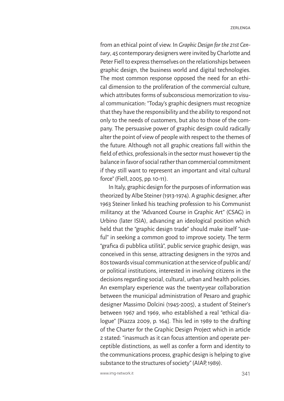from an ethical point of view. In *Graphic Design for the 21st Century*, 45 contemporary designers were invited by Charlotte and Peter Fiell to express themselves on the relationships between graphic design, the business world and digital technologies. The most common response opposed the need for an ethical dimension to the proliferation of the commercial culture, which attributes forms of subconscious memorization to visual communication: "Today's graphic designers must recognize that they have the responsibility and the ability to respond not only to the needs of customers, but also to those of the company. The persuasive power of graphic design could radically alter the point of view of people with respect to the themes of the future. Although not all graphic creations fall within the field of ethics, professionals in the sector must however tip the balance in favor of social rather than commercial commitment if they still want to represent an important and vital cultural force" (Fiell, 2005, pp. 10-11).

In Italy, graphic design for the purposes of information was theorized by Albe Steiner (1913-1974). A graphic designer, after 1963 Steiner linked his teaching profession to his Communist militancy at the "Advanced Course in Graphic Art" (CSAG) in Urbino (later ISIA), advancing an ideological position which held that the "graphic design trade" should make itself "useful" in seeking a common good to improve society. The term "grafica di pubblica utilità", public service graphic design, was conceived in this sense, attracting designers in the 1970s and 80s towards visual communication at the service of public and/ or political institutions, interested in involving citizens in the decisions regarding social, cultural, urban and health policies. An exemplary experience was the twenty-year collaboration between the municipal administration of Pesaro and graphic designer Massimo Dolcini (1945-2005), a student of Steiner's between 1967 and 1969, who established a real "ethical dialogue" [Piazza 2009, p. 164]. This led in 1989 to the drafting of the Charter for the Graphic Design Project which in article 2 stated: "inasmuch as it can focus attention and operate perceptible distinctions, as well as confer a form and identity to the communications process, graphic design is helping to give substance to the structures of society" (AIAP, 1989).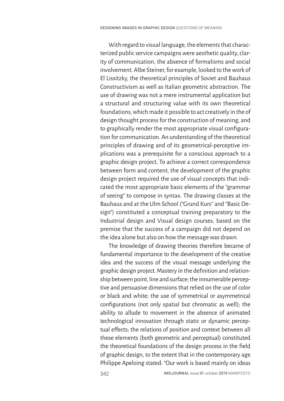With regard to visual language, the elements that characterized public service campaigns were aesthetic quality, clarity of communication, the absence of formalisms and social involvement. Albe Steiner, for example, looked to the work of El Lissitzky, the theoretical principles of Soviet and Bauhaus Constructivism as well as Italian geometric abstraction. The use of drawing was not a mere instrumental application but a structural and structuring value with its own theoretical foundations, which made it possible to act creatively in the of design thought process for the construction of meaning, and to graphically render the most appropriate visual configuration for communication. An understanding of the theoretical principles of drawing and of its geometrical-perceptive implications was a prerequisite for a conscious approach to a graphic design project. To achieve a correct correspondence between form and content, the development of the graphic design project required the use of visual concepts that indicated the most appropriate basic elements of the "grammar of seeing" to compose in syntax. The drawing classes at the Bauhaus and at the Ulm School ("Grund Kurs" and "Basic Design") constituted a conceptual training preparatory to the Industrial design and Visual design courses, based on the premise that the success of a campaign did not depend on the idea alone but also on how the message was drawn.

The knowledge of drawing theories therefore became of fundamental importance to the development of the creative idea and the success of the visual message underlying the graphic design project. Mastery in the definition and relationship between point, line and surface; the innumerable perceptive and persuasive dimensions that relied on the use of color or black and white; the use of symmetrical or asymmetrical configurations (not only spatial but chromatic as well); the ability to allude to movement in the absence of animated technological innovation through static or dynamic perceptual effects; the relations of position and context between all these elements (both geometric and perceptual) constituted the theoretical foundations of the design process in the field of graphic design, to the extent that in the contemporary age Philippe Apeloing stated: "Our work is based mainly on ideas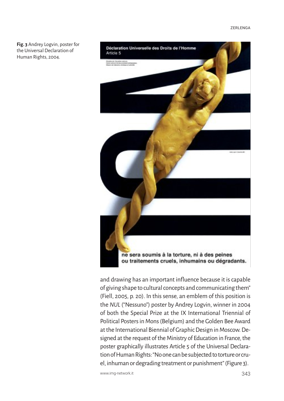**Fig. 3** Andrey Logvin, poster for the Universal Declaration of Human Rights, 2004.



and drawing has an important influence because it is capable of giving shape to cultural concepts and communicating them" (Fiell, 2005, p. 20). In this sense, an emblem of this position is the *NUL* ("Nessuno") poster by Andrey Logvin, winner in 2004 of both the Special Prize at the IX International Triennial of Political Posters in Mons (Belgium) and the Golden Bee Award at the International Biennial of Graphic Design in Moscow. Designed at the request of the Ministry of Education in France, the poster graphically illustrates Article 5 of the Universal Declaration of Human Rights: "No one can be subjected to torture or cruel, inhuman or degrading treatment or punishment" (Figure 3).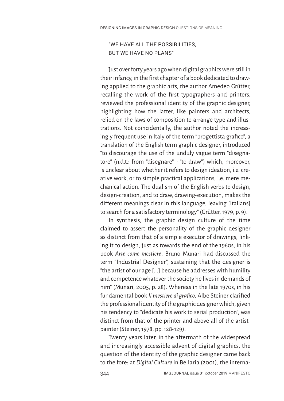## "WE HAVE ALL THE POSSIBILITIES, BUT WE HAVE NO PLANS"

Just over forty years ago when digital graphics were still in their infancy, in the first chapter of a book dedicated to drawing applied to the graphic arts, the author Amedeo Grütter, recalling the work of the first typographers and printers, reviewed the professional identity of the graphic designer, highlighting how the latter, like painters and architects, relied on the laws of composition to arrange type and illustrations. Not coincidentally, the author noted the increasingly frequent use in Italy of the term "progettista grafico", a translation of the English term graphic designer, introduced "to discourage the use of the unduly vague term "disegnatore" (n.d.t.: from "disegnare" - "to draw") which, moreover, is unclear about whether it refers to design ideation, i.e. creative work, or to simple practical applications, i.e. mere mechanical action. The dualism of the English verbs to design, design-creation, and to draw, drawing-execution, makes the different meanings clear in this language, leaving [Italians] to search for a satisfactory terminology" (Grütter, 1979, p. 9).

In synthesis, the graphic design culture of the time claimed to assert the personality of the graphic designer as distinct from that of a simple executor of drawings, linking it to design, just as towards the end of the 1960s, in his book *Arte come mestiere*, Bruno Munari had discussed the term "Industrial Designer", sustaining that the designer is "the artist of our age [...] because he addresses with humility and competence whatever the society he lives in demands of him" (Munari, 2005, p. 28). Whereas in the late 1970s, in his fundamental book *Il mestiere di grafico*, Albe Steiner clarified the professional identity of the graphic designer which, given his tendency to "dedicate his work to serial production", was distinct from that of the printer and above all of the artistpainter (Steiner, 1978, pp. 128-129).

Twenty years later, in the aftermath of the widespread and increasingly accessible advent of digital graphics, the question of the identity of the graphic designer came back to the fore: at *Digital Culture* in Bellaria (2001), the interna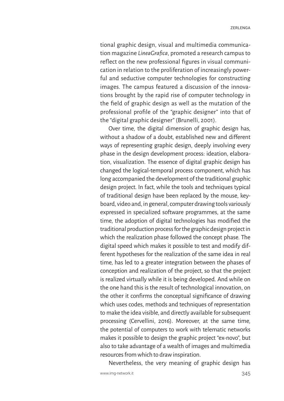tional graphic design, visual and multimedia communication magazine *LineaGrafica*, promoted a research campus to reflect on the new professional figures in visual communication in relation to the proliferation of increasingly powerful and seductive computer technologies for constructing images. The campus featured a discussion of the innovations brought by the rapid rise of computer technology in the field of graphic design as well as the mutation of the professional profile of the "graphic designer" into that of the "digital graphic designer" (Brunelli, 2001).

Over time, the digital dimension of graphic design has, without a shadow of a doubt, established new and different ways of representing graphic design, deeply involving every phase in the design development process: ideation, elaboration, visualization. The essence of digital graphic design has changed the logical-temporal process component, which has long accompanied the development of the traditional graphic design project. In fact, while the tools and techniques typical of traditional design have been replaced by the mouse, keyboard, video and, in general, computer drawing tools variously expressed in specialized software programmes, at the same time, the adoption of digital technologies has modified the traditional production process for the graphic design project in which the realization phase followed the concept phase. The digital speed which makes it possible to test and modify different hypotheses for the realization of the same idea in real time, has led to a greater integration between the phases of conception and realization of the project, so that the project is realized virtually while it is being developed. And while on the one hand this is the result of technological innovation, on the other it confirms the conceptual significance of drawing which uses codes, methods and techniques of representation to make the idea visible, and directly available for subsequent processing (Cervellini, 2016). Moreover, at the same time, the potential of computers to work with telematic networks makes it possible to design the graphic project "ex-novo", but also to take advantage of a wealth of images and multimedia resources from which to draw inspiration.

Nevertheless, the very meaning of graphic design has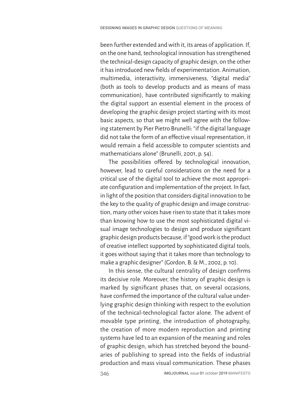been further extended and with it, its areas of application. If, on the one hand, technological innovation has strengthened the technical-design capacity of graphic design, on the other it has introduced new fields of experimentation. Animation, multimedia, interactivity, immersiveness, "digital media" (both as tools to develop products and as means of mass communication), have contributed significantly to making the digital support an essential element in the process of developing the graphic design project starting with its most basic aspects, so that we might well agree with the following statement by Pier Pietro Brunelli: "if the digital language did not take the form of an effective visual representation, it would remain a field accessible to computer scientists and mathematicians alone" (Brunelli, 2001, p. 54).

The possibilities offered by technological innovation, however, lead to careful considerations on the need for a critical use of the digital tool to achieve the most appropriate configuration and implementation of the project. In fact, in light of the position that considers digital innovation to be the key to the quality of graphic design and image construction, many other voices have risen to state that it takes more than knowing how to use the most sophisticated digital visual image technologies to design and produce significant graphic design products because, if "good work is the product of creative intellect supported by sophisticated digital tools, it goes without saying that it takes more than technology to make a graphic designer" (Gordon, B. & M., 2002, p. 10).

In this sense, the cultural centrality of design confirms its decisive role. Moreover, the history of graphic design is marked by significant phases that, on several occasions, have confirmed the importance of the cultural value underlying graphic design thinking with respect to the evolution of the technical-technological factor alone. The advent of movable type printing, the introduction of photography, the creation of more modern reproduction and printing systems have led to an expansion of the meaning and roles of graphic design, which has stretched beyond the boundaries of publishing to spread into the fields of industrial production and mass visual communication. These phases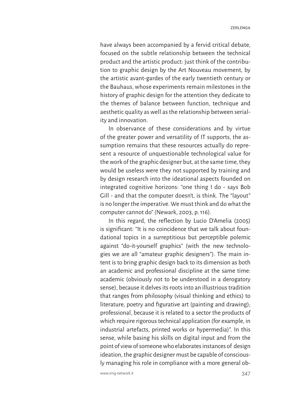have always been accompanied by a fervid critical debate, focused on the subtle relationship between the technical product and the artistic product: just think of the contribution to graphic design by the Art Nouveau movement, by the artistic avant-gardes of the early twentieth century or the Bauhaus, whose experiments remain milestones in the history of graphic design for the attention they dedicate to the themes of balance between function, technique and aesthetic quality as well as the relationship between seriality and innovation.

In observance of these considerations and by virtue of the greater power and versatility of IT supports, the assumption remains that these resources actually do represent a resource of unquestionable technological value for the work of the graphic designer but, at the same time, they would be useless were they not supported by training and by design research into the ideational aspects founded on integrated cognitive horizons: "one thing I do - says Bob Gill - and that the computer doesn't, is think. The "layout" is no longer the imperative. We must think and do what the computer cannot do" (Newark, 2003, p. 116).

In this regard, the reflection by Lucio D'Amelia (2005) is significant: "It is no coincidence that we talk about foundational topics in a surreptitious but perceptible polemic against "do-it-yourself graphics" (with the new technologies we are all "amateur graphic designers"). The main intent is to bring graphic design back to its dimension as both an academic and professional discipline at the same time: academic (obviously not to be understood in a derogatory sense), because it delves its roots into an illustrious tradition that ranges from philosophy (visual thinking and ethics) to literature, poetry and figurative art (painting and drawing); professional, because it is related to a sector the products of which require rigorous technical application (for example, in industrial artefacts, printed works or hypermedia)". In this sense, while basing his skills on digital input and from the point of view of someone who elaborates instances of design ideation, the graphic designer must be capable of consciously managing his role in compliance with a more general ob-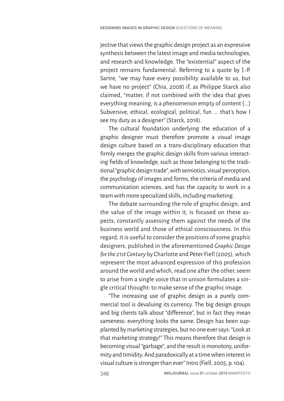jective that views the graphic design project as an expressive synthesis between the latest image and media technologies, and research and knowledge. The "existential" aspect of the project remains fundamental. Referring to a quote by J.-P. Sartre, "we may have every possibility available to us, but we have no project" (Chia, 2008) if, as Philippe Starck also claimed, "matter, if not combined with the idea that gives everything meaning, is a phenomenon empty of content [...] Subversive, ethical, ecological, political, fun ... that's how I see my duty as a designer" (Starck, 2018).

The cultural foundation underlying the education of a graphic designer must therefore promote a visual image design culture based on a trans-disciplinary education that firmly merges the graphic design skills from various interacting fields of knowledge, such as those belonging to the traditional "graphic design trade", with semiotics, visual perception, the psychology of images and forms, the criteria of media and communication sciences, and has the capacity to work in a team with more specialized skills, including marketing.

The debate surrounding the role of graphic design, and the value of the image within it, is focused on these aspects, constantly assessing them against the needs of the business world and those of ethical consciousness. In this regard, it is useful to consider the positions of some graphic designers, published in the aforementioned *Graphic Design for the 21st Century* by Charlotte and Peter Fiell (2005), which represent the most advanced expression of this profession around the world and which, read one after the other, seem to arise from a single voice that in unison formulates a single critical thought: to make sense of the graphic image.

"The increasing use of graphic design as a purely commercial tool is devaluing its currency. The big design groups and big clients talk about "difference", but in fact they mean sameness: everything looks the same. Design has been supplanted by marketing strategies, but no one ever says: "Look at that marketing strategy!" This means therefore that design is becoming visual "garbage", and the result is monotony, uniformity and timidity. And paradoxically at a time when interest in visual culture is stronger than ever" Intro (Fiell, 2005, p. 104).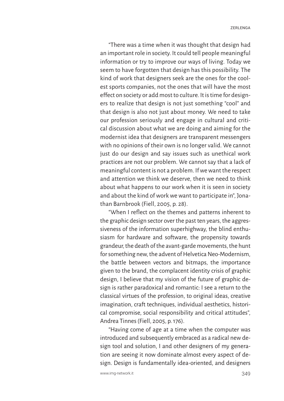"There was a time when it was thought that design had an important role in society. It could tell people meaningful information or try to improve our ways of living. Today we seem to have forgotten that design has this possibility. The kind of work that designers seek are the ones for the coolest sports companies, not the ones that will have the most effect on society or add most to culture. It is time for designers to realize that design is not just something "cool" and that design is also not just about money. We need to take our profession seriously and engage in cultural and critical discussion about what we are doing and aiming for the modernist idea that designers are transparent messengers with no opinions of their own is no longer valid. We cannot just do our design and say issues such as unethical work practices are not our problem. We cannot say that a lack of meaningful content is not a problem. If we want the respect and attention we think we deserve, then we need to think about what happens to our work when it is seen in society and about the kind of work we want to participate in", Jonathan Barnbrook (Fiell, 2005, p. 28).

"When I reflect on the themes and patterns inherent to the graphic design sector over the past ten years, the aggressiveness of the information superhighway, the blind enthusiasm for hardware and software, the propensity towards grandeur, the death of the avant-garde movements, the hunt for something new, the advent of Helvetica Neo-Modernism, the battle between vectors and bitmaps, the importance given to the brand, the complacent identity crisis of graphic design, I believe that my vision of the future of graphic design is rather paradoxical and romantic: I see a return to the classical virtues of the profession, to original ideas, creative imagination, craft techniques, individual aesthetics, historical compromise, social responsibility and critical attitudes", Andrea Tinnes (Fiell, 2005, p. 176).

"Having come of age at a time when the computer was introduced and subsequently embraced as a radical new design tool and solution, I and other designers of my generation are seeing it now dominate almost every aspect of design. Design is fundamentally idea-oriented, and designers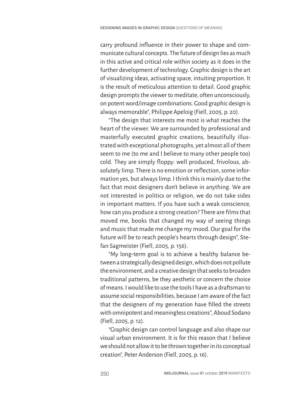carry profound influence in their power to shape and communicate cultural concepts. The future of design lies as much in this active and critical role within society as it does in the further development of technology. Graphic design is the art of visualizing ideas, activating space, intuiting proportion. It is the result of meticulous attention to detail. Good graphic design prompts the viewer to meditate, often unconsciously, on potent word/image combinations. Good graphic design is always memorable", Philippe Apeloig (Fiell, 2005, p. 20).

"The design that interests me most is what reaches the heart of the viewer. We are surrounded by professional and masterfully executed graphic creations, beautifully illustrated with exceptional photographs, yet almost all of them seem to me (to me and I believe to many other people too) cold. They are simply floppy: well produced, frivolous, absolutely limp. There is no emotion or reflection, some information yes, but always limp. I think this is mainly due to the fact that most designers don't believe in anything. We are not interested in politics or religion, we do not take sides in important matters. If you have such a weak conscience, how can you produce a strong creation? There are films that moved me, books that changed my way of seeing things and music that made me change my mood. Our goal for the future will be to reach people's hearts through design", Stefan Sagmeister (Fiell, 2005, p. 156).

"My long-term goal is to achieve a healthy balance between a strategically designed design, which does not pollute the environment, and a creative design that seeks to broaden traditional patterns, be they aesthetic or concern the choice of means. I would like to use the tools I have as a draftsman to assume social responsibilities, because I am aware of the fact that the designers of my generation have filled the streets with omnipotent and meaningless creations", Aboud Sodano (Fiell, 2005, p. 12).

"Graphic design can control language and also shape our visual urban environment. It is for this reason that I believe we should not allow it to be thrown together in its conceptual creation", Peter Anderson (Fiell, 2005, p. 16).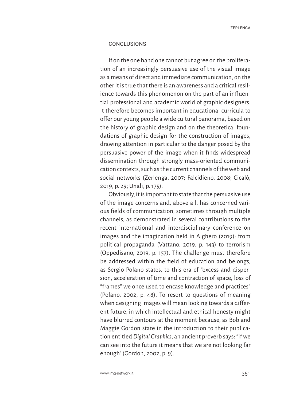### CONCLUSIONS

If on the one hand one cannot but agree on the proliferation of an increasingly persuasive use of the visual image as a means of direct and immediate communication, on the other it is true that there is an awareness and a critical resilience towards this phenomenon on the part of an influential professional and academic world of graphic designers. It therefore becomes important in educational curricula to offer our young people a wide cultural panorama, based on the history of graphic design and on the theoretical foundations of graphic design for the construction of images, drawing attention in particular to the danger posed by the persuasive power of the image when it finds widespread dissemination through strongly mass-oriented communication contexts, such as the current channels of the web and social networks (Zerlenga, 2007; Falcidieno, 2008; Cicalò, 2019, p. 29; Unali, p. 175).

Obviously, it is important to state that the persuasive use of the image concerns and, above all, has concerned various fields of communication, sometimes through multiple channels, as demonstrated in several contributions to the recent international and interdisciplinary conference on images and the imagination held in Alghero (2019): from political propaganda (Vattano, 2019, p. 143) to terrorism (Oppedisano, 2019, p. 157). The challenge must therefore be addressed within the field of education and belongs, as Sergio Polano states, to this era of "excess and dispersion, acceleration of time and contraction of space, loss of "frames" we once used to encase knowledge and practices" (Polano, 2002, p. 48). To resort to questions of meaning when designing images will mean looking towards a different future, in which intellectual and ethical honesty might have blurred contours at the moment because, as Bob and Maggie Gordon state in the introduction to their publication entitled *Digital Graphics*, an ancient proverb says: "if we can see into the future it means that we are not looking far enough" (Gordon, 2002, p. 9).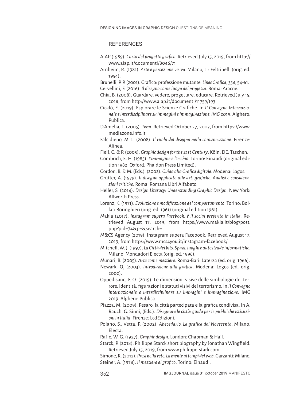#### **REFERENCES**

- AIAP (1989). *Carta del progetto grafico*. Retrieved July 15, 2019, from http:// www.aiap.it/documenti/8046/71
- Arnheim, R. (1981). *Arte e percezione visiva*. Milano, IT: Feltrinelli (orig. ed. 1954).
- Brunelli, P. P. (2001). Grafico: professione mutante. *LineaGrafica*, *334*, 54-61.
- Cervellini, F. (2016). *Il disegno come luogo del progetto*. Roma: Aracne.
- Chia, B. (2008). Guardare, vedere, progettare: educare. Retrieved July 15, 2018, from http://www.aiap.it/documenti/11759/193
- Cicalò, E. (2019). Esplorare le Scienze Grafiche. In *II Convegno Internazionale e interdisciplinare su immagini e immaginazione. IMG 2019*. Alghero: Publica.
- D'Amelia, L. (2005). *Temi*. Retrieved October 27, 2007, from https://www. mediazone.info.it
- Falcidieno, M. L. (2008). *Il ruolo del disegno nella comunicazione*. Firenze: Alinea.

Fiell, C. & P. (2005). *Graphic design for the 21st Century*. Köln, DE: Taschen.

- Gombrich, E. H. (1985). *L'immagine e l'occhio*. Torino: Einaudi (original edition 1982. Oxford: Phaidon Press Limited).
- Gordon, B. & M. (Eds.). (2002). *Guida alla Grafica digitale*. Modena: Logos.
- Grütter, A. (1979). *Il disegno applicato alle arti grafiche. Analisi e considerazioni critiche*. Roma: Romana Libri Alfabeto.
- Heller, S. (2014). *Design Literacy: Understanding Graphic Design*. New York: Allworth Press.
- Lorenz, K. (1971). *Evoluzione e modificazione del comportamento*. Torino: Bollati Boringhieri (orig. ed. 1961) (original edition 1961).
- Makia (2017). *Instagram supera Facebook: è il social preferito in Italia.* Retrieved August 17, 2019, from https://www.makia.it/blog/post. php?pid=74&p=&search=
- M&CS Agency (2019). Instagram supera Facebook. Retrieved August 17, 2019, from https://www.mcs4you.it/instagram-facebook/
- Mitchell, W. J. (1997). *La Città dei bits. Spazi, luoghi e autostrade informatiche*. Milano: Mondadori Electa (orig. ed. 1996).

Munari, B. (2005). *Arte come mestiere*. Roma-Bari: Laterza (ed. orig. 1966).

- Newark, Q. (2003). *Introduzione alla grafica*. Modena: Logos (ed. orig. 2002).
- Oppedisano, F. O. (2019). Le dimensioni visive delle simbologie del terrore. Identità, figurazioni e statuti visivi del terrorismo. In *II Convegno Internazionale e interdisciplinare su immagini e immaginazione*. IMG 2019. Alghero: Publica.
- Piazza, M. (2009). Pesaro, la città partecipata e la grafica condivisa. In A. Rauch, G. Sinni, (Eds.). *Disegnare le città: guida per le pubbliche istituzioni in Italia*. Firenze: LcdEdizioni.
- Polano, S., Vetta, P. (2002). *Abecedario. La grafica del Novecento*. Milano: Electa.

Raffe, W. G. (1927). *Graphic design*. London: Chapman & Hall.

Starck, P. (2018). Philippe Starck short biography by Jonathan Wingfield. Retrieved July 15, 2019, from www.philippe-stark.com

Simone, R. (2012). *Presi nella rete. La mente ai tempi del web*. Garzanti: Milano. Steiner, A. (1978). *Il mestiere di grafico*. Torino: Einaudi.